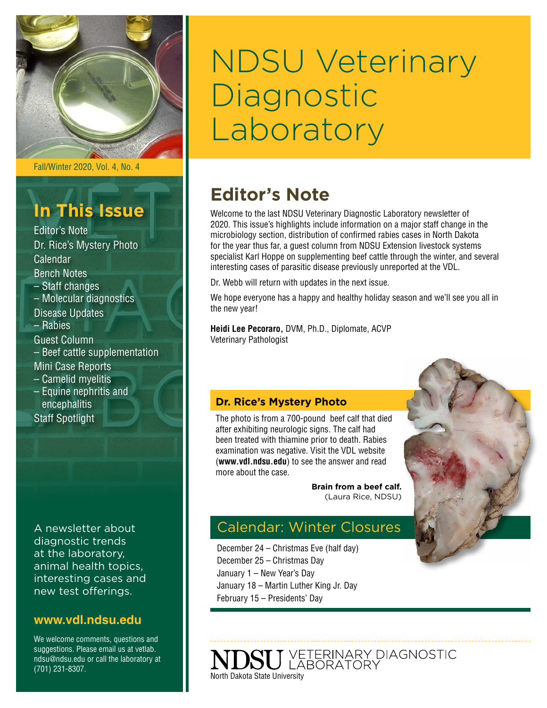

Fall/Winter 2020, Vol. 4, No. 4

## **In This Issue**

- Editor's Note Dr. Rice's Mystery Photo Calendar Bench Notes – Staff changes – Molecular diagnostics Disease Updates – Rabies Guest Column – Beef cattle supplementation Mini Case Reports – Camelid myelitis
- Equine nephritis and encephalitis Staff Spotlight

A newsletter about diagnostic trends at the laboratory, animal health topics, interesting cases and new test offerings.

### **[www.vdl.ndsu.edu](file:///C:\Users\david.haasser\AppData\Local\Microsoft\Windows\Temporary%20Internet%20Files\Content.Outlook\2SAH4N2J\www.ag.ndsu.edu\ansc\)**

We welcome comments, questions and suggestions. Please email us at vetlab. ndsu@ndsu.edu or call the laboratory at (701) 231-8307.

# NDSU Veterinary **Diagnostic** Laboratory

### **Editor's Note**

Welcome to the last NDSU Veterinary Diagnostic Laboratory newsletter of 2020. This issue's highlights include information on a major staff change in the microbiology section, distribution of confirmed rabies cases in North Dakota for the year thus far, a guest column from NDSU Extension livestock systems specialist Karl Hoppe on supplementing beef cattle through the winter, and several interesting cases of parasitic disease previously unreported at the VDL.

Dr. Webb will return with updates in the next issue.

We hope everyone has a happy and healthy holiday season and we'll see you all in the new year!

**Heidi Lee Pecoraro,** DVM, Ph.D., Diplomate, ACVP Veterinary Pathologist

#### **Dr. Rice's Mystery Photo**

The photo is from a 700-pound beef calf that died after exhibiting neurologic signs. The calf had been treated with thiamine prior to death. Rabies examination was negative. Visit the VDL website (**[www.vdl.ndsu.edu](http://www.vdl.ndsu.edu)**) to see the answer and read more about the case.

> **Brain from a beef calf.**  (Laura Rice, NDSU)

### Calendar: Winter Closures

December 24 – Christmas Eve (half day) December 25 – Christmas Day January 1 – New Year's Day January 18 – Martin Luther King Jr. Day February 15 – Presidents' Day

VETERINARY DIAGNOSTIC<br>LABORATORY North Dakota State University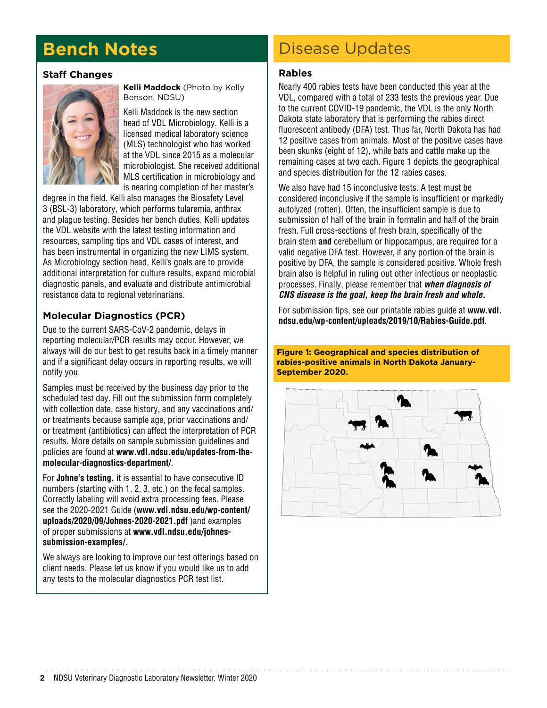## **Bench Notes**

#### **Staff Changes**



**Kelli Maddock** (Photo by Kelly Benson, NDSU)

Kelli Maddock is the new section head of VDL Microbiology. Kelli is a licensed medical laboratory science (MLS) technologist who has worked at the VDL since 2015 as a molecular microbiologist. She received additional MLS certification in microbiology and is nearing completion of her master's

degree in the field. Kelli also manages the Biosafety Level 3 (BSL-3) laboratory, which performs tularemia, anthrax and plague testing. Besides her bench duties, Kelli updates the VDL website with the latest testing information and resources, sampling tips and VDL cases of interest, and has been instrumental in organizing the new LIMS system. As Microbiology section head, Kelli's goals are to provide additional interpretation for culture results, expand microbial diagnostic panels, and evaluate and distribute antimicrobial resistance data to regional veterinarians.

#### **Molecular Diagnostics (PCR)**

Due to the current SARS-CoV-2 pandemic, delays in reporting molecular/PCR results may occur. However, we always will do our best to get results back in a timely manner and if a significant delay occurs in reporting results, we will notify you.

Samples must be received by the business day prior to the scheduled test day. Fill out the submission form completely with collection date, case history, and any vaccinations and/ or treatments because sample age, prior vaccinations and/ or treatment (antibiotics) can affect the interpretation of PCR results. More details on sample submission guidelines and policies are found at **[www.vdl.ndsu.edu/updates-from-the](http://www.vdl.ndsu.edu/updates-from-the-molecular-diagnostics-department/)[molecular-diagnostics-department/](http://www.vdl.ndsu.edu/updates-from-the-molecular-diagnostics-department/)**.

For **Johne's testing,** it is essential to have consecutive ID numbers (starting with 1, 2, 3, etc.) on the fecal samples. Correctly labeling will avoid extra processing fees. Please see the 2020-2021 Guide (**[www.vdl.ndsu.edu/wp-content/](http://www.vdl.ndsu.edu/wp-content/uploads/2020/09/Johnes-2020-2021.pdf) [uploads/2020/09/Johnes-2020-2021.pdf](http://www.vdl.ndsu.edu/wp-content/uploads/2020/09/Johnes-2020-2021.pdf)** )and examples of proper submissions at **[www.vdl.ndsu.edu/johnes](http://www.vdl.ndsu.edu/johnes-submission-examples/)[submission-examples/](http://www.vdl.ndsu.edu/johnes-submission-examples/)**.

We always are looking to improve our test offerings based on client needs. Please let us know if you would like us to add any tests to the molecular diagnostics PCR test list.

### Disease Updates

#### **Rabies**

Nearly 400 rabies tests have been conducted this year at the VDL, compared with a total of 233 tests the previous year. Due to the current COVID-19 pandemic, the VDL is the only North Dakota state laboratory that is performing the rabies direct fluorescent antibody (DFA) test. Thus far, North Dakota has had 12 positive cases from animals. Most of the positive cases have been skunks (eight of 12), while bats and cattle make up the remaining cases at two each. Figure 1 depicts the geographical and species distribution for the 12 rabies cases.

We also have had 15 inconclusive tests. A test must be considered inconclusive if the sample is insufficient or markedly autolyzed (rotten). Often, the insufficient sample is due to submission of half of the brain in formalin and half of the brain fresh. Full cross-sections of fresh brain, specifically of the brain stem **and** cerebellum or hippocampus, are required for a valid negative DFA test. However, if any portion of the brain is positive by DFA, the sample is considered positive. Whole fresh brain also is helpful in ruling out other infectious or neoplastic processes. Finally, please remember that *when diagnosis of CNS disease is the goal, keep the brain fresh and whole.*

For submission tips, see our printable rabies guide at **[www.vdl.](http://www.vdl.ndsu.edu/wp-content/uploads/2019/10/Rabies-Guide.pdf) [ndsu.edu/wp-content/uploads/2019/10/Rabies-Guide.pdf](http://www.vdl.ndsu.edu/wp-content/uploads/2019/10/Rabies-Guide.pdf)**.

**Figure 1: Geographical and species distribution of rabies-positive animals in North Dakota January-September 2020.**

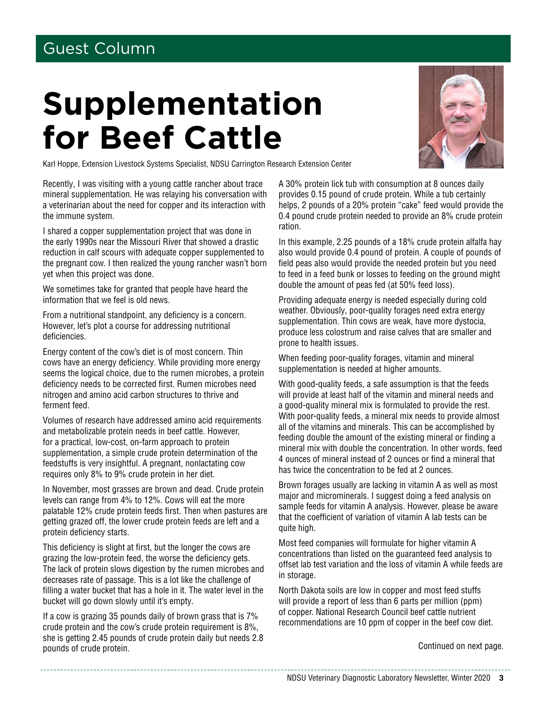### Guest Column

# **Supplementation for Beef Cattle**



Karl Hoppe, Extension Livestock Systems Specialist, NDSU Carrington Research Extension Center

Recently, I was visiting with a young cattle rancher about trace mineral supplementation. He was relaying his conversation with a veterinarian about the need for copper and its interaction with the immune system.

I shared a copper supplementation project that was done in the early 1990s near the Missouri River that showed a drastic reduction in calf scours with adequate copper supplemented to the pregnant cow. I then realized the young rancher wasn't born yet when this project was done.

We sometimes take for granted that people have heard the information that we feel is old news.

From a nutritional standpoint, any deficiency is a concern. However, let's plot a course for addressing nutritional deficiencies.

Energy content of the cow's diet is of most concern. Thin cows have an energy deficiency. While providing more energy seems the logical choice, due to the rumen microbes, a protein deficiency needs to be corrected first. Rumen microbes need nitrogen and amino acid carbon structures to thrive and ferment feed.

Volumes of research have addressed amino acid requirements and metabolizable protein needs in beef cattle. However, for a practical, low-cost, on-farm approach to protein supplementation, a simple crude protein determination of the feedstuffs is very insightful. A pregnant, nonlactating cow requires only 8% to 9% crude protein in her diet.

In November, most grasses are brown and dead. Crude protein levels can range from 4% to 12%. Cows will eat the more palatable 12% crude protein feeds first. Then when pastures are getting grazed off, the lower crude protein feeds are left and a protein deficiency starts.

This deficiency is slight at first, but the longer the cows are grazing the low-protein feed, the worse the deficiency gets. The lack of protein slows digestion by the rumen microbes and decreases rate of passage. This is a lot like the challenge of filling a water bucket that has a hole in it. The water level in the bucket will go down slowly until it's empty.

If a cow is grazing 35 pounds daily of brown grass that is 7% crude protein and the cow's crude protein requirement is 8%, she is getting 2.45 pounds of crude protein daily but needs 2.8 pounds of crude protein. The continued on next page.

A 30% protein lick tub with consumption at 8 ounces daily provides 0.15 pound of crude protein. While a tub certainly helps, 2 pounds of a 20% protein "cake" feed would provide the 0.4 pound crude protein needed to provide an 8% crude protein ration.

In this example, 2.25 pounds of a 18% crude protein alfalfa hay also would provide 0.4 pound of protein. A couple of pounds of field peas also would provide the needed protein but you need to feed in a feed bunk or losses to feeding on the ground might double the amount of peas fed (at 50% feed loss).

Providing adequate energy is needed especially during cold weather. Obviously, poor-quality forages need extra energy supplementation. Thin cows are weak, have more dystocia, produce less colostrum and raise calves that are smaller and prone to health issues.

When feeding poor-quality forages, vitamin and mineral supplementation is needed at higher amounts.

With good-quality feeds, a safe assumption is that the feeds will provide at least half of the vitamin and mineral needs and a good-quality mineral mix is formulated to provide the rest. With poor-quality feeds, a mineral mix needs to provide almost all of the vitamins and minerals. This can be accomplished by feeding double the amount of the existing mineral or finding a mineral mix with double the concentration. In other words, feed 4 ounces of mineral instead of 2 ounces or find a mineral that has twice the concentration to be fed at 2 ounces.

Brown forages usually are lacking in vitamin A as well as most major and microminerals. I suggest doing a feed analysis on sample feeds for vitamin A analysis. However, please be aware that the coefficient of variation of vitamin A lab tests can be quite high.

Most feed companies will formulate for higher vitamin A concentrations than listed on the guaranteed feed analysis to offset lab test variation and the loss of vitamin A while feeds are in storage.

North Dakota soils are low in copper and most feed stuffs will provide a report of less than 6 parts per million (ppm) of copper. National Research Council beef cattle nutrient recommendations are 10 ppm of copper in the beef cow diet.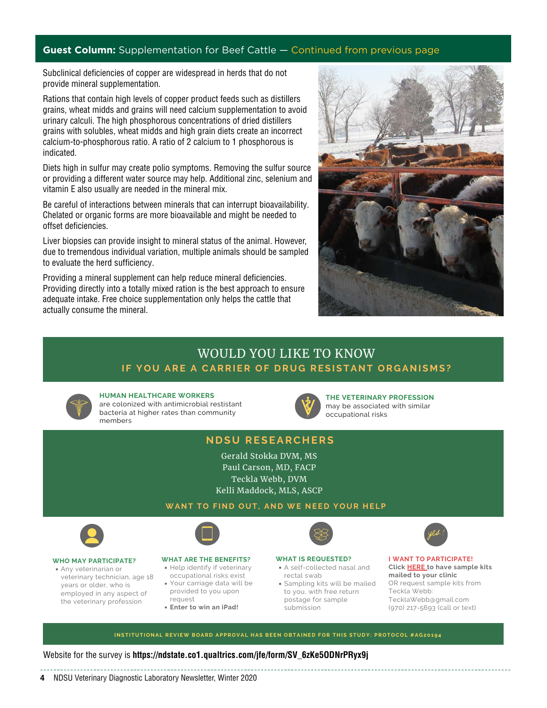#### **Guest Column:** Supplementation for Beef Cattle — Continued from previous page

Subclinical deficiencies of copper are widespread in herds that do not provide mineral supplementation.

Rations that contain high levels of copper product feeds such as distillers grains, wheat midds and grains will need calcium supplementation to avoid urinary calculi. The high phosphorous concentrations of dried distillers grains with solubles, wheat midds and high grain diets create an incorrect calcium-to-phosphorous ratio. A ratio of 2 calcium to 1 phosphorous is indicated.

Diets high in sulfur may create polio symptoms. Removing the sulfur source or providing a different water source may help. Additional zinc, selenium and vitamin E also usually are needed in the mineral mix.

Be careful of interactions between minerals that can interrupt bioavailability. Chelated or organic forms are more bioavailable and might be needed to offset deficiencies.

Liver biopsies can provide insight to mineral status of the animal. However, due to tremendous individual variation, multiple animals should be sampled to evaluate the herd sufficiency.

Providing a mineral supplement can help reduce mineral deficiencies. Providing directly into a totally mixed ration is the best approach to ensure adequate intake. Free choice supplementation only helps the cattle that actually consume the mineral.



### **I F YOU ARE A CARRIER OF D RUG RESISTANT OR G ANIS M S?** WOULD YOU LIKE TO KNOW



**HUMAN HEALTHCARE WORKERS**

are colonized with antimicrobial restistant bacteria at higher rates than community members



**THE VETERINARY PROFESSION** may be associated with similar occupational risks

#### **ND S U RESEARC H ERS**

Gerald Stokka DVM, MS Paul Carson, MD, FACP Teckla Webb, DVM Kelli Maddock, MLS, ASCP

#### **WANT TO F IND OUT, AND WE NEE D YOU R H ELP**



Any veterinarian or veterinary technician, age 18 years or older, who is employed in any aspect of the veterinary profession



#### **WHAT ARE THE BENEFITS?**

- Help identify if veterinary occupational risks exist
- Your carriage data will be provided to you upon
- request
- **Enter to win an iPad!**

#### **WHAT IS REQUESTED?**

- A self-collected nasal and rectal swab Sampling kits will be mailed to you, with free return
- postage for sample submission



INSTITUTIONAL REVIEW BOARD APPROVAL HAS BEEN OBTAINED FOR THIS STUDY: PROTOCOL #AG20194

#### Website for the survey is **[https://ndstate.co1.qualtrics.com/jfe/form/SV\\_6zKe5ODNrPRyx9j](https://ndstate.co1.qualtrics.com/jfe/form/SV_6zKe5ODNrPRyx9j)**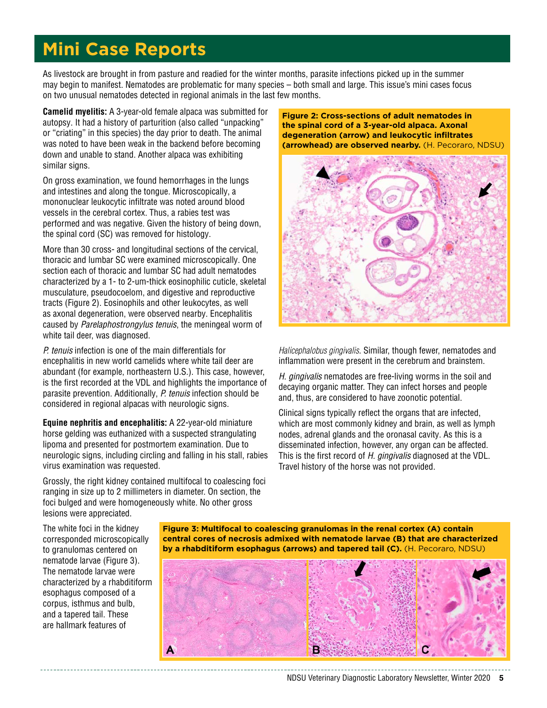### **Mini Case Reports**

As livestock are brought in from pasture and readied for the winter months, parasite infections picked up in the summer may begin to manifest. Nematodes are problematic for many species – both small and large. This issue's mini cases focus on two unusual nematodes detected in regional animals in the last few months.

**Camelid myelitis:** A 3-year-old female alpaca was submitted for autopsy. It had a history of parturition (also called "unpacking" or "criating" in this species) the day prior to death. The animal was noted to have been weak in the backend before becoming down and unable to stand. Another alpaca was exhibiting similar signs.

On gross examination, we found hemorrhages in the lungs and intestines and along the tongue. Microscopically, a mononuclear leukocytic infiltrate was noted around blood vessels in the cerebral cortex. Thus, a rabies test was performed and was negative. Given the history of being down, the spinal cord (SC) was removed for histology.

More than 30 cross- and longitudinal sections of the cervical, thoracic and lumbar SC were examined microscopically. One section each of thoracic and lumbar SC had adult nematodes characterized by a 1- to 2-um-thick eosinophilic cuticle, skeletal musculature, pseudocoelom, and digestive and reproductive tracts (Figure 2). Eosinophils and other leukocytes, as well as axonal degeneration, were observed nearby. Encephalitis caused by *Parelaphostrongylus tenuis*, the meningeal worm of white tail deer, was diagnosed.

*P. tenuis* infection is one of the main differentials for encephalitis in new world camelids where white tail deer are abundant (for example, northeastern U.S.). This case, however, is the first recorded at the VDL and highlights the importance of parasite prevention. Additionally, *P. tenuis* infection should be considered in regional alpacas with neurologic signs.

**Equine nephritis and encephalitis:** A 22-year-old miniature horse gelding was euthanized with a suspected strangulating lipoma and presented for postmortem examination. Due to neurologic signs, including circling and falling in his stall, rabies virus examination was requested.

Grossly, the right kidney contained multifocal to coalescing foci ranging in size up to 2 millimeters in diameter. On section, the foci bulged and were homogeneously white. No other gross lesions were appreciated.

**Figure 2: Cross-sections of adult nematodes in the spinal cord of a 3-year-old alpaca. Axonal degeneration (arrow) and leukocytic infiltrates (arrowhead) are observed nearby.** (H. Pecoraro, NDSU)



*Halicephalobus gingivalis*. Similar, though fewer, nematodes and inflammation were present in the cerebrum and brainstem.

*H. gingivalis* nematodes are free-living worms in the soil and decaying organic matter. They can infect horses and people and, thus, are considered to have zoonotic potential.

Clinical signs typically reflect the organs that are infected, which are most commonly kidney and brain, as well as lymph nodes, adrenal glands and the oronasal cavity. As this is a disseminated infection, however, any organ can be affected. This is the first record of *H. gingivalis* diagnosed at the VDL. Travel history of the horse was not provided.

The white foci in the kidney corresponded microscopically to granulomas centered on nematode larvae (Figure 3). The nematode larvae were characterized by a rhabditiform esophagus composed of a corpus, isthmus and bulb, and a tapered tail. These are hallmark features of

**Figure 3: Multifocal to coalescing granulomas in the renal cortex (A) contain central cores of necrosis admixed with nematode larvae (B) that are characterized by a rhabditiform esophagus (arrows) and tapered tail (C).** (H. Pecoraro, NDSU)